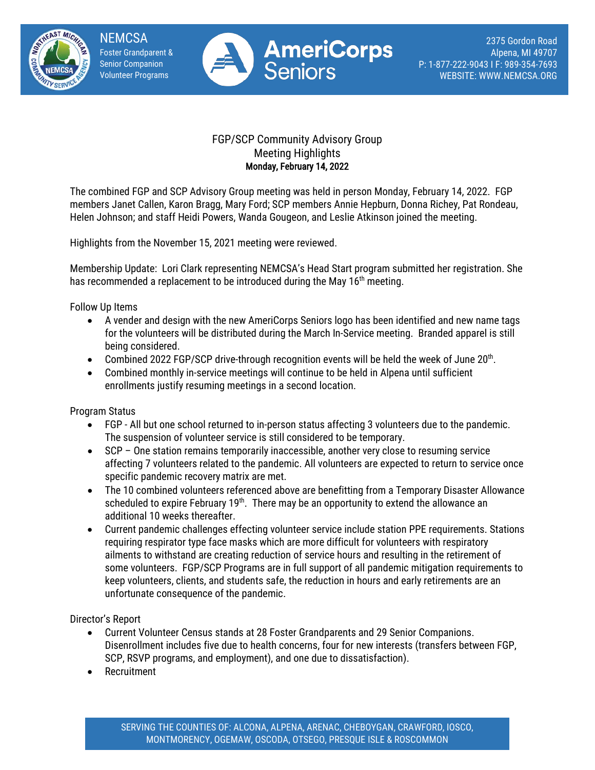

**NEMCSA** Foster Grandparent & Senior Companion Volunteer Programs



2375 Gordon Road Alpena, MI 49707 P: 1-877-222-9043 I F: 989-354-7693 WEBSITE: WWW.NEMCSA.ORG

## FGP/SCP Community Advisory Group Meeting Highlights Monday, February 14, 2022

The combined FGP and SCP Advisory Group meeting was held in person Monday, February 14, 2022. FGP members Janet Callen, Karon Bragg, Mary Ford; SCP members Annie Hepburn, Donna Richey, Pat Rondeau, Helen Johnson; and staff Heidi Powers, Wanda Gougeon, and Leslie Atkinson joined the meeting.

Highlights from the November 15, 2021 meeting were reviewed.

Membership Update: Lori Clark representing NEMCSA's Head Start program submitted her registration. She has recommended a replacement to be introduced during the May 16<sup>th</sup> meeting.

Follow Up Items

- A vender and design with the new AmeriCorps Seniors logo has been identified and new name tags for the volunteers will be distributed during the March In-Service meeting. Branded apparel is still being considered.
- Combined 2022 FGP/SCP drive-through recognition events will be held the week of June 20<sup>th</sup>.
- Combined monthly in-service meetings will continue to be held in Alpena until sufficient enrollments justify resuming meetings in a second location.

Program Status

- FGP All but one school returned to in-person status affecting 3 volunteers due to the pandemic. The suspension of volunteer service is still considered to be temporary.
- SCP One station remains temporarily inaccessible, another very close to resuming service affecting 7 volunteers related to the pandemic. All volunteers are expected to return to service once specific pandemic recovery matrix are met.
- The 10 combined volunteers referenced above are benefitting from a Temporary Disaster Allowance scheduled to expire February  $19<sup>th</sup>$ . There may be an opportunity to extend the allowance an additional 10 weeks thereafter.
- Current pandemic challenges effecting volunteer service include station PPE requirements. Stations requiring respirator type face masks which are more difficult for volunteers with respiratory ailments to withstand are creating reduction of service hours and resulting in the retirement of some volunteers. FGP/SCP Programs are in full support of all pandemic mitigation requirements to keep volunteers, clients, and students safe, the reduction in hours and early retirements are an unfortunate consequence of the pandemic.

Director's Report

- Current Volunteer Census stands at 28 Foster Grandparents and 29 Senior Companions. Disenrollment includes five due to health concerns, four for new interests (transfers between FGP, SCP, RSVP programs, and employment), and one due to dissatisfaction).
- Recruitment